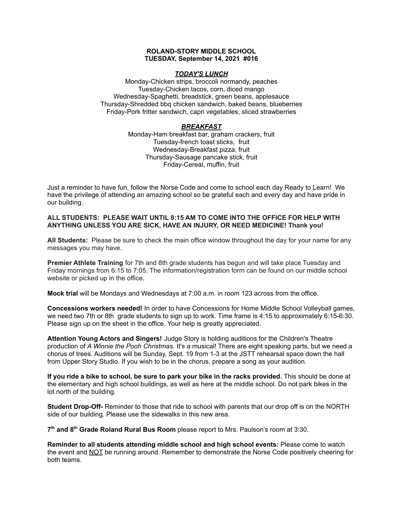### **ROLAND-STORY MIDDLE SCHOOL TUESDAY, September 14, 2021 #016**

### *TODAY'S LUNCH*

Monday-Chicken strips, broccoli normandy, peaches Tuesday-Chicken tacos, corn, diced mango Wednesday-Spaghetti, breadstick, green beans, applesauce Thursday-Shredded bbq chicken sandwich, baked beans, blueberries Friday-Pork fritter sandwich, capri vegetables, sliced strawberries

## *BREAKFAST*

Monday-Ham breakfast bar, graham crackers, fruit Tuesday-french toast sticks, fruit Wednesday-Breakfast pizza, fruit Thursday-Sausage pancake stick, fruit Friday-Cereal, muffin, fruit

Just a reminder to have fun, follow the Norse Code and come to school each day Ready to Learn! We have the privilege of attending an amazing school so be grateful each and every day and have pride in our building.

### **ALL STUDENTS: PLEASE WAIT UNTIL 8:15 AM TO COME INTO THE OFFICE FOR HELP WITH ANYTHING UNLESS YOU ARE SICK, HAVE AN INJURY, OR NEED MEDICINE! Thank you!**

**All Students:** Please be sure to check the main office window throughout the day for your name for any messages you may have.

**Premier Athlete Training** for 7th and 8th grade students has begun and will take place Tuesday and Friday mornings from 6:15 to 7:05. The information/registration form can be found on our middle school website or picked up in the office.

**Mock trial** will be Mondays and Wednesdays at 7:00 a.m. in room 123 across from the office.

**Concessions workers needed!** In order to have Concessions for Home Middle School Volleyball games, we need two 7th or 8th grade students to sign up to work. Time frame is 4:15 to approximately 6:15-6:30. Please sign up on the sheet in the office. Your help is greatly appreciated.

**Attention Young Actors and Singers!** Judge Story is holding auditions for the Children's Theatre production of *A Winnie the Pooh Christmas.* It's a musical! There are eight speaking parts, but we need a chorus of trees. Auditions will be Sunday, Sept. 19 from 1-3 at the JSTT rehearsal space down the hall from Upper Story Studio. If you wish to be in the chorus, prepare a song as your audition.

**If you ride a bike to school, be sure to park your bike in the racks provided.** This should be done at the elementary and high school buildings, as well as here at the middle school. Do not park bikes in the lot north of the building.

**Student Drop-Off-** Reminder to those that ride to school with parents that our drop off is on the NORTH side of our building. Please use the sidewalks in this new area.

**7 th and 8 th Grade Roland Rural Bus Room** please report to Mrs. Paulson's room at 3:30.

**Reminder to all students attending middle school and high school events:** Please come to watch the event and NOT be running around. Remember to demonstrate the Norse Code positively cheering for both teams.